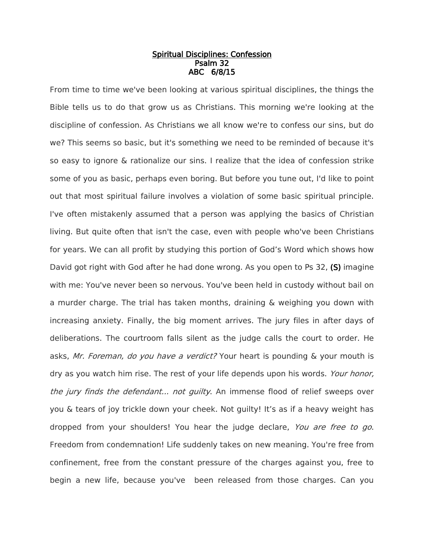## Spiritual Disciplines: Confession Psalm 32 ABC 6/8/15

From time to time we've been looking at various spiritual disciplines, the things the Bible tells us to do that grow us as Christians. This morning we're looking at the discipline of confession. As Christians we all know we're to confess our sins, but do we? This seems so basic, but it's something we need to be reminded of because it's so easy to ignore & rationalize our sins. I realize that the idea of confession strike some of you as basic, perhaps even boring. But before you tune out, I'd like to point out that most spiritual failure involves a violation of some basic spiritual principle. I've often mistakenly assumed that a person was applying the basics of Christian living. But quite often that isn't the case, even with people who've been Christians for years. We can all profit by studying this portion of God's Word which shows how David got right with God after he had done wrong. As you open to Ps 32, (S) imagine with me: You've never been so nervous. You've been held in custody without bail on a murder charge. The trial has taken months, draining & weighing you down with increasing anxiety. Finally, the big moment arrives. The jury files in after days of deliberations. The courtroom falls silent as the judge calls the court to order. He asks, Mr. Foreman, do you have a verdict? Your heart is pounding & your mouth is dry as you watch him rise. The rest of your life depends upon his words. Your honor, the jury finds the defendant... not quilty. An immense flood of relief sweeps over you & tears of joy trickle down your cheek. Not guilty! It's as if a heavy weight has dropped from your shoulders! You hear the judge declare, You are free to go. Freedom from condemnation! Life suddenly takes on new meaning. You're free from confinement, free from the constant pressure of the charges against you, free to begin a new life, because you've been released from those charges. Can you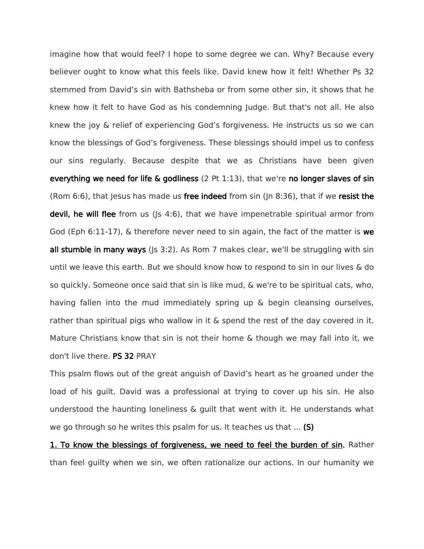imagine how that would feel? I hope to some degree we can. Why? Because every believer ought to know what this feels like. David knew how it felt! Whether Ps 32 stemmed from David's sin with Bathsheba or from some other sin, it shows that he knew how it felt to have God as his condemning Judge. But that's not all. He also knew the joy & relief of experiencing God's forgiveness. He instructs us so we can know the blessings of God's forgiveness. These blessings should impel us to confess our sins regularly. Because despite that we as Christians have been given everything we need for life & godliness (2 Pt  $1:13$ ), that we're no longer slaves of sin (Rom 6:6), that Jesus has made us free indeed from sin (Jn 8:36), that if we resist the devil, he will flee from us ( $|s\ 4:6\rangle$ , that we have impenetrable spiritual armor from God (Eph 6:11-17),  $\&$  therefore never need to sin again, the fact of the matter is we all stumble in many ways ( $|s \, 3:2$ ). As Rom 7 makes clear, we'll be struggling with sin until we leave this earth. But we should know how to respond to sin in our lives & do so quickly. Someone once said that sin is like mud, & we're to be spiritual cats, who, having fallen into the mud immediately spring up & begin cleansing ourselves, rather than spiritual pigs who wallow in it & spend the rest of the day covered in it. Mature Christians know that sin is not their home & though we may fall into it, we don't live there. PS 32 PRAY

This psalm flows out of the great anguish of David's heart as he groaned under the load of his guilt. David was a professional at trying to cover up his sin. He also understood the haunting loneliness & guilt that went with it. He understands what we go through so he writes this psalm for us. It teaches us that ... (S)

1. To know the blessings of forgiveness, we need to feel the burden of sin. Rather than feel guilty when we sin, we often rationalize our actions. In our humanity we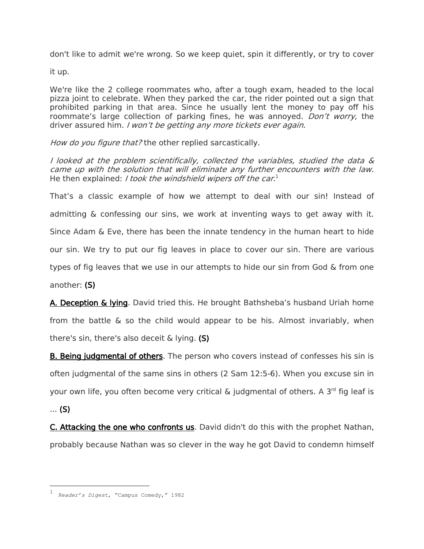don't like to admit we're wrong. So we keep quiet, spin it differently, or try to cover

it up.

We're like the 2 college roommates who, after a tough exam, headed to the local pizza joint to celebrate. When they parked the car, the rider pointed out a sign that prohibited parking in that area. Since he usually lent the money to pay off his roommate's large collection of parking fines, he was annoyed. *Don't worry*, the driver assured him. I won't be getting any more tickets ever again.

How do you figure that? the other replied sarcastically.

I looked at the problem scientifically, collected the variables, studied the data & came up with the solution that will eliminate any further encounters with the law. He then explained: *I took the windshield wipers off the car.*<sup>1</sup>

That's a classic example of how we attempt to deal with our sin! Instead of admitting & confessing our sins, we work at inventing ways to get away with it. Since Adam & Eve, there has been the innate tendency in the human heart to hide our sin. We try to put our fig leaves in place to cover our sin. There are various types of fig leaves that we use in our attempts to hide our sin from God & from one another: (S)

A. Deception & lying. David tried this. He brought Bathsheba's husband Uriah home from the battle & so the child would appear to be his. Almost invariably, when there's sin, there's also deceit & lying. (S)

**B. Being judgmental of others**. The person who covers instead of confesses his sin is often judgmental of the same sins in others (2 Sam 12:5-6). When you excuse sin in your own life, you often become very critical & judgmental of others. A 3<sup>rd</sup> fig leaf is

... (S)

 $\overline{a}$ 

C. Attacking the one who confronts us. David didn't do this with the prophet Nathan, probably because Nathan was so clever in the way he got David to condemn himself

<sup>1</sup> *Reader's Digest*, "Campus Comedy," 1982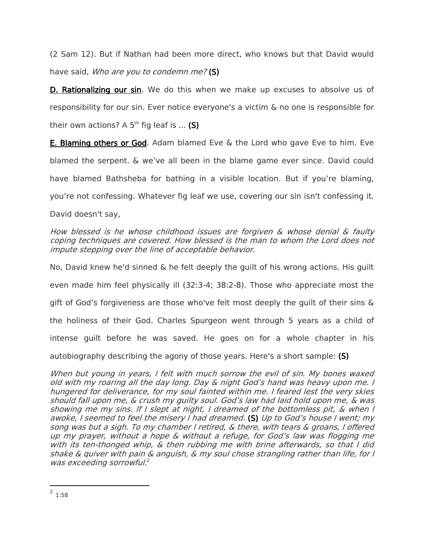(2 Sam 12). But if Nathan had been more direct, who knows but that David would have said, Who are you to condemn me? (S)

D. Rationalizing our sin. We do this when we make up excuses to absolve us of responsibility for our sin. Ever notice everyone's a victim & no one is responsible for their own actions? A 5<sup>th</sup> fig leaf is ... (S)

E. Blaming others or God. Adam blamed Eve & the Lord who gave Eve to him. Eve blamed the serpent. & we've all been in the blame game ever since. David could have blamed Bathsheba for bathing in a visible location. But if you're blaming, you're not confessing. Whatever fig leaf we use, covering our sin isn't confessing it. David doesn't say,

How blessed is he whose childhood issues are forgiven & whose denial & faulty coping techniques are covered. How blessed is the man to whom the Lord does not impute stepping over the line of acceptable behavior.

No, David knew he'd sinned & he felt deeply the guilt of his wrong actions. His guilt even made him feel physically ill (32:3-4; 38:2-8). Those who appreciate most the gift of God's forgiveness are those who've felt most deeply the guilt of their sins & the holiness of their God. Charles Spurgeon went through 5 years as a child of intense guilt before he was saved. He goes on for a whole chapter in his autobiography describing the agony of those years. Here's a short sample: (S)

When but young in years, I felt with much sorrow the evil of sin. My bones waxed old with my roaring all the day long. Day & night God's hand was heavy upon me. I hungered for deliverance, for my soul fainted within me. I feared lest the very skies should fall upon me, & crush my guilty soul. God's law had laid hold upon me, & was showing me my sins. If I slept at night, I dreamed of the bottomless pit, & when I awoke, I seemed to feel the misery I had dreamed. (S) Up to God's house I went; my song was but a sigh. To my chamber I retired, & there, with tears & groans, I offered up my prayer, without a hope & without a refuge, for God's law was flogging me with its ten-thonged whip, & then rubbing me with brine afterwards, so that I did shake & quiver with pain & anguish, & my soul chose strangling rather than life, for I was exceeding sorrowful.<sup>2</sup>

 $\overline{a}$ 

 $^2$  1:58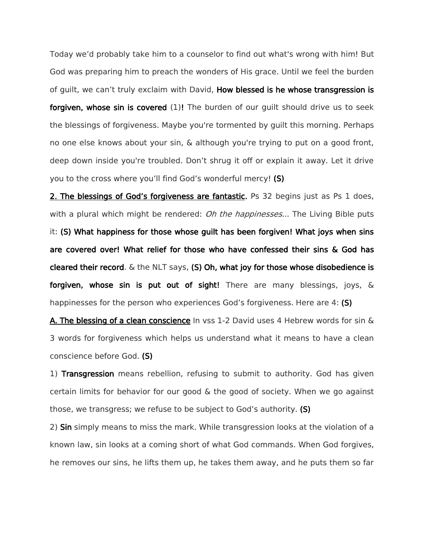Today we'd probably take him to a counselor to find out what's wrong with him! But God was preparing him to preach the wonders of His grace. Until we feel the burden of guilt, we can't truly exclaim with David, How blessed is he whose transgression is forgiven, whose sin is covered (1)! The burden of our quilt should drive us to seek the blessings of forgiveness. Maybe you're tormented by guilt this morning. Perhaps no one else knows about your sin, & although you're trying to put on a good front, deep down inside you're troubled. Don't shrug it off or explain it away. Let it drive you to the cross where you'll find God's wonderful mercy! (S)

2. The blessings of God's forgiveness are fantastic. Ps 32 begins just as Ps 1 does, with a plural which might be rendered: *Oh the happinesses...* The Living Bible puts it: (S) What happiness for those whose guilt has been forgiven! What joys when sins are covered over! What relief for those who have confessed their sins & God has cleared their record.  $\&$  the NLT says, (S) Oh, what joy for those whose disobedience is forgiven, whose sin is put out of sight! There are many blessings, joys, & happinesses for the person who experiences God's forgiveness. Here are 4: (S)

A. The blessing of a clean conscience In vss 1-2 David uses 4 Hebrew words for sin & 3 words for forgiveness which helps us understand what it means to have a clean conscience before God. (S)

1) Transgression means rebellion, refusing to submit to authority. God has given certain limits for behavior for our good & the good of society. When we go against those, we transgress; we refuse to be subject to God's authority. (S)

2) Sin simply means to miss the mark. While transgression looks at the violation of a known law, sin looks at a coming short of what God commands. When God forgives, he removes our sins, he lifts them up, he takes them away, and he puts them so far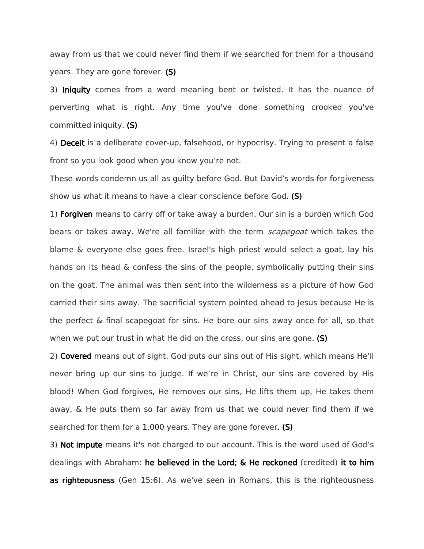away from us that we could never find them if we searched for them for a thousand years. They are gone forever. (S)

3) Iniquity comes from a word meaning bent or twisted. It has the nuance of perverting what is right. Any time you've done something crooked you've committed iniquity. (S)

4) Deceit is a deliberate cover-up, falsehood, or hypocrisy. Trying to present a false front so you look good when you know you're not.

These words condemn us all as guilty before God. But David's words for forgiveness show us what it means to have a clear conscience before God. (S)

1) Forgiven means to carry off or take away a burden. Our sin is a burden which God bears or takes away. We're all familiar with the term *scapegoat* which takes the blame & everyone else goes free. Israel's high priest would select a goat, lay his hands on its head & confess the sins of the people, symbolically putting their sins on the goat. The animal was then sent into the wilderness as a picture of how God carried their sins away. The sacrificial system pointed ahead to Jesus because He is the perfect & final scapegoat for sins. He bore our sins away once for all, so that when we put our trust in what He did on the cross, our sins are gone. (S)

2) Covered means out of sight. God puts our sins out of His sight, which means He'll never bring up our sins to judge. If we're in Christ, our sins are covered by His blood! When God forgives, He removes our sins, He lifts them up, He takes them away, & He puts them so far away from us that we could never find them if we searched for them for a 1,000 years. They are gone forever. (S)

3) Not impute means it's not charged to our account. This is the word used of God's dealings with Abraham: he believed in the Lord; & He reckoned (credited) it to him as righteousness (Gen 15:6). As we've seen in Romans, this is the righteousness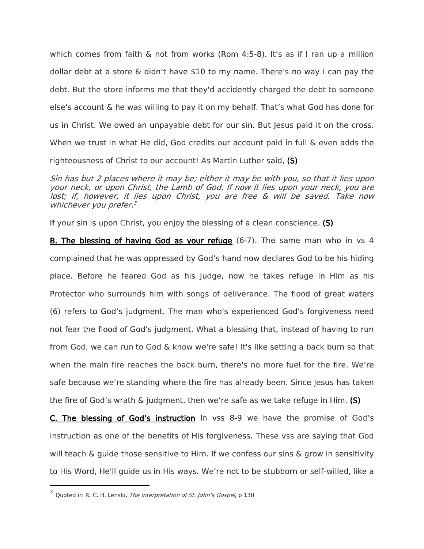which comes from faith & not from works (Rom 4:5-8). It's as if I ran up a million dollar debt at a store & didn't have \$10 to my name. There's no way I can pay the debt. But the store informs me that they'd accidently charged the debt to someone else's account & he was willing to pay it on my behalf. That's what God has done for us in Christ. We owed an unpayable debt for our sin. But Jesus paid it on the cross. When we trust in what He did, God credits our account paid in full & even adds the righteousness of Christ to our account! As Martin Luther said, (S)

Sin has but 2 places where it may be; either it may be with you, so that it lies upon your neck, or upon Christ, the Lamb of God. If now it lies upon your neck, you are lost; if, however, it lies upon Christ, you are free & will be saved. Take now whichever you prefer.<sup>3</sup>

If your sin is upon Christ, you enjoy the blessing of a clean conscience. (S)

B. The blessing of having God as your refuge (6-7). The same man who in vs 4 complained that he was oppressed by God's hand now declares God to be his hiding place. Before he feared God as his Judge, now he takes refuge in Him as his Protector who surrounds him with songs of deliverance. The flood of great waters (6) refers to God's judgment. The man who's experienced God's forgiveness need not fear the flood of God's judgment. What a blessing that, instead of having to run from God, we can run to God & know we're safe! It's like setting a back burn so that when the main fire reaches the back burn, there's no more fuel for the fire. We're safe because we're standing where the fire has already been. Since Jesus has taken the fire of God's wrath  $\&$  judgment, then we're safe as we take refuge in Him. (S)

C. The blessing of God's instruction In vss 8-9 we have the promise of God's instruction as one of the benefits of His forgiveness. These vss are saying that God will teach & guide those sensitive to Him. If we confess our sins & grow in sensitivity to His Word, He'll guide us in His ways. We're not to be stubborn or self-willed, like a

 $\overline{a}$ 

<sup>&</sup>lt;sup>3</sup> Quoted in R. C. H. Lenski, *The Interpretation of St. John's Gospel*, p 130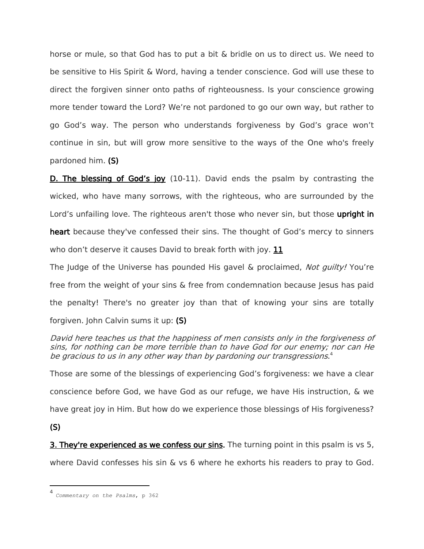horse or mule, so that God has to put a bit & bridle on us to direct us. We need to be sensitive to His Spirit & Word, having a tender conscience. God will use these to direct the forgiven sinner onto paths of righteousness. Is your conscience growing more tender toward the Lord? We're not pardoned to go our own way, but rather to go God's way. The person who understands forgiveness by God's grace won't continue in sin, but will grow more sensitive to the ways of the One who's freely pardoned him. (S)

D. The blessing of God's joy (10-11). David ends the psalm by contrasting the wicked, who have many sorrows, with the righteous, who are surrounded by the Lord's unfailing love. The righteous aren't those who never sin, but those upright in heart because they've confessed their sins. The thought of God's mercy to sinners

who don't deserve it causes David to break forth with joy. 11

The Judge of the Universe has pounded His gavel & proclaimed, Not guilty! You're free from the weight of your sins  $\&$  free from condemnation because Jesus has paid the penalty! There's no greater joy than that of knowing your sins are totally forgiven. John Calvin sums it up: (S)

David here teaches us that the happiness of men consists only in the forgiveness of sins, for nothing can be more terrible than to have God for our enemy; nor can He be gracious to us in any other way than by pardoning our transgressions. 4

Those are some of the blessings of experiencing God's forgiveness: we have a clear conscience before God, we have God as our refuge, we have His instruction, & we have great joy in Him. But how do we experience those blessings of His forgiveness?

(S)

 $\overline{a}$ 

**3. They're experienced as we confess our sins.** The turning point in this psalm is vs 5, where David confesses his sin & vs 6 where he exhorts his readers to pray to God.

<sup>4</sup> *Commentary on the Psalms*, p 362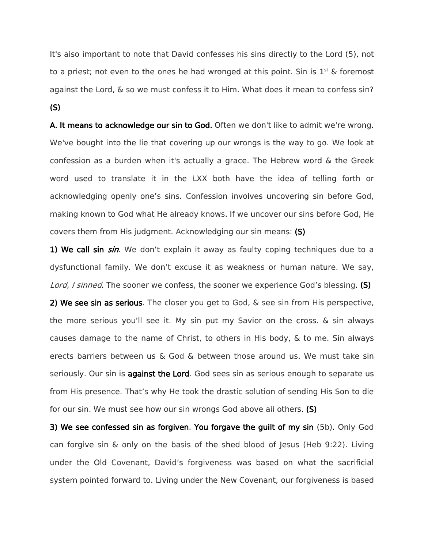It's also important to note that David confesses his sins directly to the Lord (5), not to a priest; not even to the ones he had wronged at this point. Sin is  $1^{st}$  & foremost against the Lord, & so we must confess it to Him. What does it mean to confess sin? (S)

A. It means to acknowledge our sin to God. Often we don't like to admit we're wrong. We've bought into the lie that covering up our wrongs is the way to go. We look at confession as a burden when it's actually a grace. The Hebrew word & the Greek word used to translate it in the LXX both have the idea of telling forth or acknowledging openly one's sins. Confession involves uncovering sin before God, making known to God what He already knows. If we uncover our sins before God, He covers them from His judgment. Acknowledging our sin means: (S)

1) We call sin sin. We don't explain it away as faulty coping techniques due to a dysfunctional family. We don't excuse it as weakness or human nature. We say, Lord, I sinned. The sooner we confess, the sooner we experience God's blessing. (S)

2) We see sin as serious. The closer you get to God, & see sin from His perspective, the more serious you'll see it. My sin put my Savior on the cross. & sin always causes damage to the name of Christ, to others in His body, & to me. Sin always erects barriers between us & God & between those around us. We must take sin seriously. Our sin is against the Lord. God sees sin as serious enough to separate us from His presence. That's why He took the drastic solution of sending His Son to die for our sin. We must see how our sin wrongs God above all others. (S)

3) We see confessed sin as forgiven. You forgave the guilt of my sin (5b). Only God can forgive sin  $\&$  only on the basis of the shed blood of Jesus (Heb 9:22). Living under the Old Covenant, David's forgiveness was based on what the sacrificial system pointed forward to. Living under the New Covenant, our forgiveness is based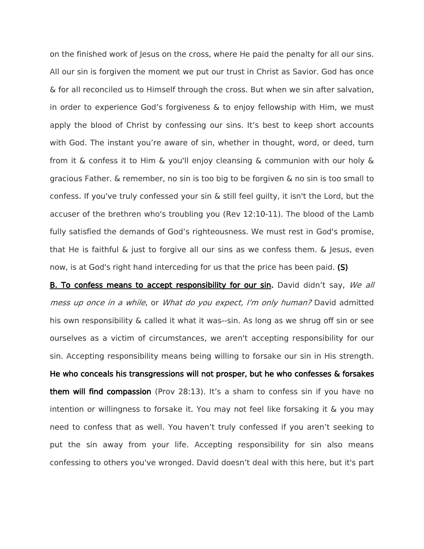on the finished work of Jesus on the cross, where He paid the penalty for all our sins. All our sin is forgiven the moment we put our trust in Christ as Savior. God has once & for all reconciled us to Himself through the cross. But when we sin after salvation, in order to experience God's forgiveness & to enjoy fellowship with Him, we must apply the blood of Christ by confessing our sins. It's best to keep short accounts with God. The instant you're aware of sin, whether in thought, word, or deed, turn from it & confess it to Him & you'll enjoy cleansing & communion with our holy & gracious Father. & remember, no sin is too big to be forgiven & no sin is too small to confess. If you've truly confessed your sin & still feel guilty, it isn't the Lord, but the accuser of the brethren who's troubling you (Rev 12:10-11). The blood of the Lamb fully satisfied the demands of God's righteousness. We must rest in God's promise, that He is faithful & just to forgive all our sins as we confess them. & Jesus, even now, is at God's right hand interceding for us that the price has been paid. (S)

B. To confess means to accept responsibility for our sin. David didn't say, We all mess up once in a while, or What do you expect, I'm only human? David admitted his own responsibility & called it what it was--sin. As long as we shrug off sin or see ourselves as a victim of circumstances, we aren't accepting responsibility for our sin. Accepting responsibility means being willing to forsake our sin in His strength. He who conceals his transgressions will not prosper, but he who confesses & forsakes them will find compassion (Prov 28:13). It's a sham to confess sin if you have no intention or willingness to forsake it. You may not feel like forsaking it & you may need to confess that as well. You haven't truly confessed if you aren't seeking to put the sin away from your life. Accepting responsibility for sin also means confessing to others you've wronged. David doesn't deal with this here, but it's part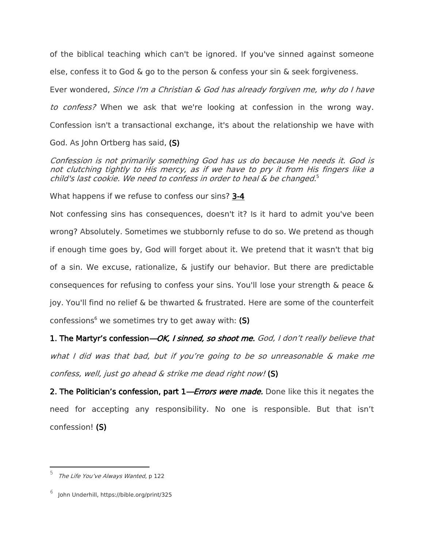of the biblical teaching which can't be ignored. If you've sinned against someone else, confess it to God & go to the person & confess your sin & seek forgiveness.

Ever wondered, Since I'm a Christian & God has already forgiven me, why do I have to confess? When we ask that we're looking at confession in the wrong way. Confession isn't a transactional exchange, it's about the relationship we have with God. As John Ortberg has said, (S)

Confession is not primarily something God has us do because He needs it. God is not clutching tightly to His mercy, as if we have to pry it from His fingers like a child's last cookie. We need to confess in order to heal & be changed. 5

What happens if we refuse to confess our sins? 3-4

Not confessing sins has consequences, doesn't it? Is it hard to admit you've been wrong? Absolutely. Sometimes we stubbornly refuse to do so. We pretend as though if enough time goes by, God will forget about it. We pretend that it wasn't that big of a sin. We excuse, rationalize, & justify our behavior. But there are predictable consequences for refusing to confess your sins. You'll lose your strength & peace & joy. You'll find no relief & be thwarted & frustrated. Here are some of the counterfeit confessions<sup>6</sup> we sometimes try to get away with:  $(S)$ 

1. The Martyr's confession—OK, I sinned, so shoot me. God, I don't really believe that what I did was that bad, but if you're going to be so unreasonable & make me confess, well, just go ahead & strike me dead right now! (S)

2. The Politician's confession, part 1—*Errors were made.* Done like this it negates the need for accepting any responsibility. No one is responsible. But that isn't confession! (S)

 $\overline{\phantom{a}}$ 

<sup>&</sup>lt;sup>5</sup> The Life You've Always Wanted, p 122

<sup>6</sup> John Underhill, https://bible.org/print/325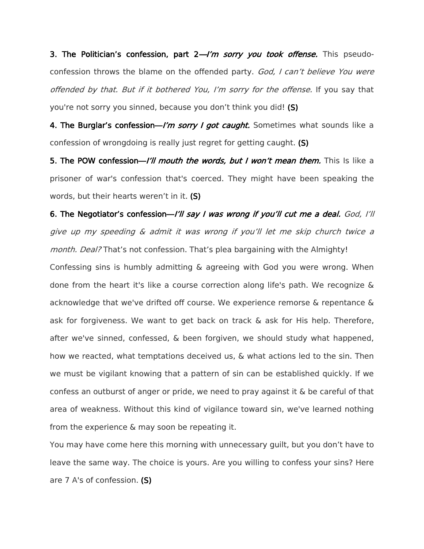3. The Politician's confession, part  $2 - l'm$  sorry you took offense. This pseudoconfession throws the blame on the offended party. God, I can't believe You were offended by that. But if it bothered You, I'm sorry for the offense. If you say that you're not sorry you sinned, because you don't think you did! (S)

4. The Burglar's confession—I'm sorry I got caught. Sometimes what sounds like a confession of wrongdoing is really just regret for getting caught. (S)

5. The POW confession—I'll mouth the words, but I won't mean them. This Is like a prisoner of war's confession that's coerced. They might have been speaking the words, but their hearts weren't in it. (S)

6. The Negotiator's confession—I'll say I was wrong if you'll cut me a deal. God, I'll give up my speeding & admit it was wrong if you'll let me skip church twice a month. Deal? That's not confession. That's plea bargaining with the Almighty!

Confessing sins is humbly admitting & agreeing with God you were wrong. When done from the heart it's like a course correction along life's path. We recognize & acknowledge that we've drifted off course. We experience remorse & repentance & ask for forgiveness. We want to get back on track & ask for His help. Therefore, after we've sinned, confessed, & been forgiven, we should study what happened, how we reacted, what temptations deceived us, & what actions led to the sin. Then we must be vigilant knowing that a pattern of sin can be established quickly. If we confess an outburst of anger or pride, we need to pray against it & be careful of that area of weakness. Without this kind of vigilance toward sin, we've learned nothing from the experience & may soon be repeating it.

You may have come here this morning with unnecessary guilt, but you don't have to leave the same way. The choice is yours. Are you willing to confess your sins? Here are 7 A's of confession. (S)